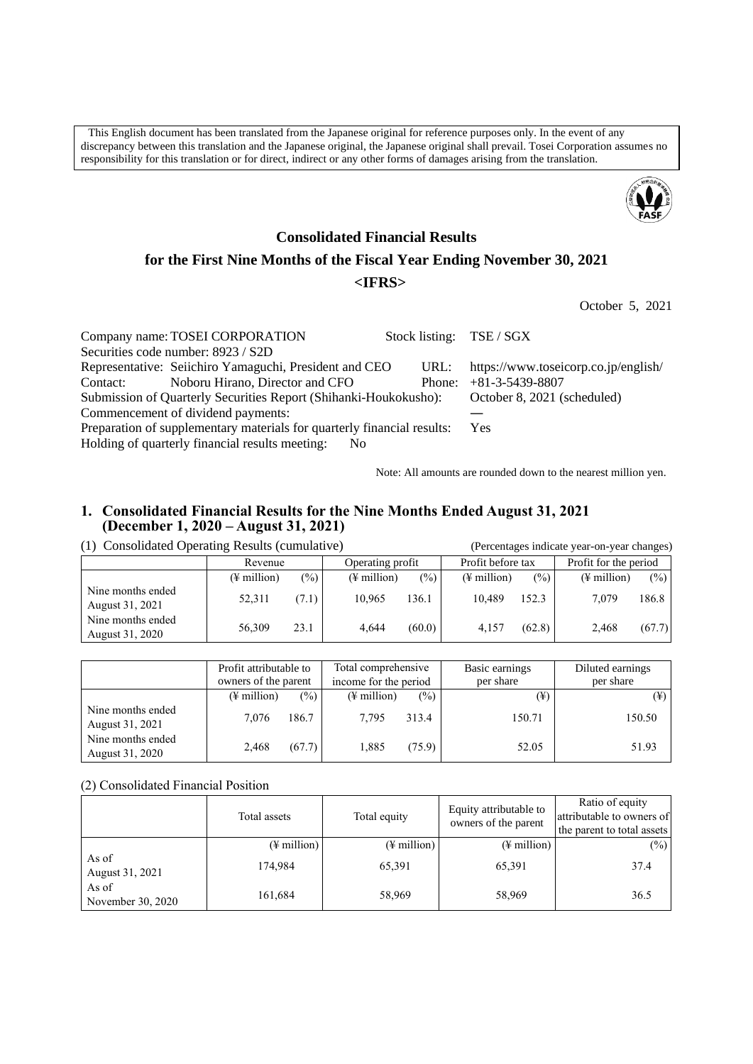This English document has been translated from the Japanese original for reference purposes only. In the event of any discrepancy between this translation and the Japanese original, the Japanese original shall prevail. Tosei Corporation assumes no responsibility for this translation or for direct, indirect or any other forms of damages arising from the translation.



# **Consolidated Financial Results for the First Nine Months of the Fiscal Year Ending November 30, 2021 <IFRS>**

October 5, 2021

|     |                                                                                                                                                                                                   | https://www.toseicorp.co.jp/english/                                                                                                                                                                                                      |
|-----|---------------------------------------------------------------------------------------------------------------------------------------------------------------------------------------------------|-------------------------------------------------------------------------------------------------------------------------------------------------------------------------------------------------------------------------------------------|
|     |                                                                                                                                                                                                   | Phone: $+81-3-5439-8807$                                                                                                                                                                                                                  |
|     |                                                                                                                                                                                                   | October 8, 2021 (scheduled)                                                                                                                                                                                                               |
|     |                                                                                                                                                                                                   |                                                                                                                                                                                                                                           |
|     | Yes                                                                                                                                                                                               |                                                                                                                                                                                                                                           |
| No. |                                                                                                                                                                                                   |                                                                                                                                                                                                                                           |
|     | Company name: TOSEI CORPORATION<br>Securities code number: 8923 / S2D<br>Noboru Hirano, Director and CFO<br>Commencement of dividend payments:<br>Holding of quarterly financial results meeting: | Stock listing: TSE / SGX<br>Representative: Seiichiro Yamaguchi, President and CEO<br>URL:<br>Submission of Quarterly Securities Report (Shihanki-Houkokusho):<br>Preparation of supplementary materials for quarterly financial results: |

Note: All amounts are rounded down to the nearest million yen.

# **1. Consolidated Financial Results for the Nine Months Ended August 31, 2021 (December 1, 2020 – August 31, 2021)**

# (1) Consolidated Operating Results (cumulative) (Percentages indicate year-on-year changes)

|                                      | Revenue                 |       | Operating profit        |                | Profit before tax       |                 | Profit for the period   |         |
|--------------------------------------|-------------------------|-------|-------------------------|----------------|-------------------------|-----------------|-------------------------|---------|
|                                      | $(\frac{1}{2})$ million | (9/0) | $(\frac{1}{2})$ million | $\binom{0}{0}$ | $(\frac{1}{2}$ million) | $\frac{(0)}{0}$ | $(\frac{1}{2})$ million | $(\% )$ |
| Nine months ended<br>August 31, 2021 | 52,311                  | (7.1) | 10.965                  | 136.1          | 10.489                  | 152.3           | 7.079                   | 186.8   |
| Nine months ended<br>August 31, 2020 | 56,309                  | 23.1  | 4.644                   | (60.0)         | 4.157                   | (62.8)          | 2.468                   | (67.7)  |

|                                      | Profit attributable to<br>owners of the parent |        | Total comprehensive<br>income for the period |        | Basic earnings<br>per share | Diluted earnings<br>per share |  |
|--------------------------------------|------------------------------------------------|--------|----------------------------------------------|--------|-----------------------------|-------------------------------|--|
|                                      | $(\frac{1}{2})$ million                        | (%)    | $(\frac{1}{2})$ million                      | $(\%)$ | (¥)                         | $(\yen)$                      |  |
| Nine months ended<br>August 31, 2021 | 7.076                                          | 186.7  | 7.795                                        | 313.4  | 150.71                      | 150.50                        |  |
| Nine months ended<br>August 31, 2020 | 2,468                                          | (67.7) | 1.885                                        | (75.9) | 52.05                       | 51.93                         |  |

(2) Consolidated Financial Position

|                            | Total assets            | Total equity            | Equity attributable to<br>owners of the parent | Ratio of equity<br>attributable to owners of<br>the parent to total assets |
|----------------------------|-------------------------|-------------------------|------------------------------------------------|----------------------------------------------------------------------------|
|                            | $(\frac{1}{2})$ million | $(\frac{1}{2}$ million) | $(\frac{1}{2})$ million                        | (%)                                                                        |
| As of<br>August 31, 2021   | 174.984                 | 65,391                  | 65,391                                         | 37.4                                                                       |
| As of<br>November 30, 2020 | 161,684                 | 58,969                  | 58,969                                         | 36.5                                                                       |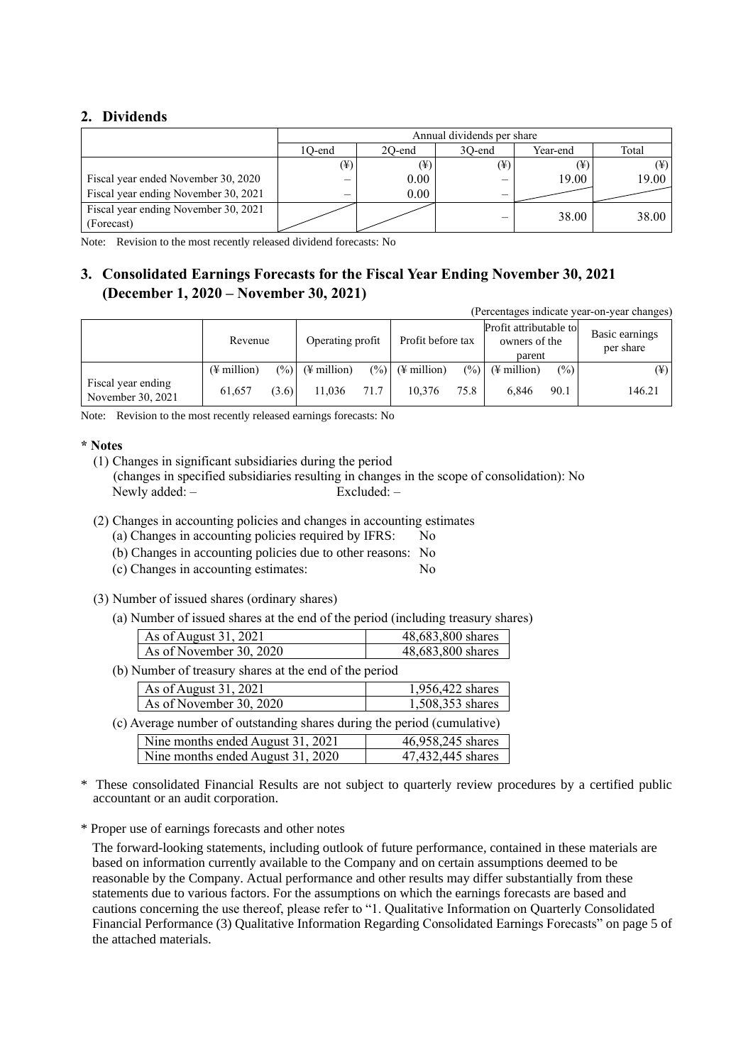# **2. Dividends**

|                                                    |          | Annual dividends per share |          |          |          |  |  |  |  |
|----------------------------------------------------|----------|----------------------------|----------|----------|----------|--|--|--|--|
|                                                    | 1O-end   | 20-end                     | 30-end   | Year-end | Total    |  |  |  |  |
|                                                    | $(\yen)$ | $(\yen)$                   | $(\yen)$ |          | $(\yen)$ |  |  |  |  |
| Fiscal year ended November 30, 2020                |          | 0.00                       |          | 19.00    | 19.00    |  |  |  |  |
| Fiscal year ending November 30, 2021               |          | 0.00                       | -        |          |          |  |  |  |  |
| Fiscal year ending November 30, 2021<br>(Forecast) |          |                            | _        | 38.00    | 38.00    |  |  |  |  |

Note: Revision to the most recently released dividend forecasts: No

# **3. Consolidated Earnings Forecasts for the Fiscal Year Ending November 30, 2021 (December 1, 2020 – November 30, 2021)**

(Percentages indicate year-on-year changes)

|                                         | Revenue                 |         | Operating profit        |      | Profit before tax            |      | Profit attributable to<br>owners of the<br>parent |               | Basic earnings<br>per share |  |
|-----------------------------------------|-------------------------|---------|-------------------------|------|------------------------------|------|---------------------------------------------------|---------------|-----------------------------|--|
|                                         | $(\frac{1}{2})$ million | $(\%)]$ | $(\frac{1}{2})$ million |      | $(\frac{9}{6})$ (\# million) |      | $(\%)$ (¥ million)                                | $\frac{6}{2}$ | $(\yen)$                    |  |
| Fiscal year ending<br>November 30, 2021 | 61.657                  | (3.6)   | 11.036                  | 71.7 | 10.376                       | 75.8 | 6.846                                             | 90.1          | 146.21                      |  |

Note: Revision to the most recently released earnings forecasts: No

### **\* Notes**

(1) Changes in significant subsidiaries during the period (changes in specified subsidiaries resulting in changes in the scope of consolidation): No Newly added: -

- (2) Changes in accounting policies and changes in accounting estimates
	- (a) Changes in accounting policies required by IFRS: No
	- (b) Changes in accounting policies due to other reasons: No
	- (c) Changes in accounting estimates: No
- (3) Number of issued shares (ordinary shares)
	- (a) Number of issued shares at the end of the period (including treasury shares)

| As of August 31, 2021   | 48,683,800 shares |
|-------------------------|-------------------|
| As of November 30, 2020 | 48,683,800 shares |

(b) Number of treasury shares at the end of the period

|                         | As of August 31, 2021                                                   | 1,956,422 shares               |  |  |  |
|-------------------------|-------------------------------------------------------------------------|--------------------------------|--|--|--|
| As of November 30, 2020 |                                                                         | 1,508,353 shares               |  |  |  |
|                         | (c) Average number of outstanding shares during the period (cumulative) |                                |  |  |  |
|                         | Nine months ended August 31, 2021                                       | 46,958,245 shares              |  |  |  |
|                         | Nine months ended August 31, 2020                                       | $\overline{47,432,445}$ shares |  |  |  |

- These consolidated Financial Results are not subject to quarterly review procedures by a certified public accountant or an audit corporation.
- \* Proper use of earnings forecasts and other notes

The forward-looking statements, including outlook of future performance, contained in these materials are based on information currently available to the Company and on certain assumptions deemed to be reasonable by the Company. Actual performance and other results may differ substantially from these statements due to various factors. For the assumptions on which the earnings forecasts are based and cautions concerning the use thereof, please refer to "1. Qualitative Information on Quarterly Consolidated Financial Performance (3) Qualitative Information Regarding Consolidated Earnings Forecasts" on page 5 of the attached materials.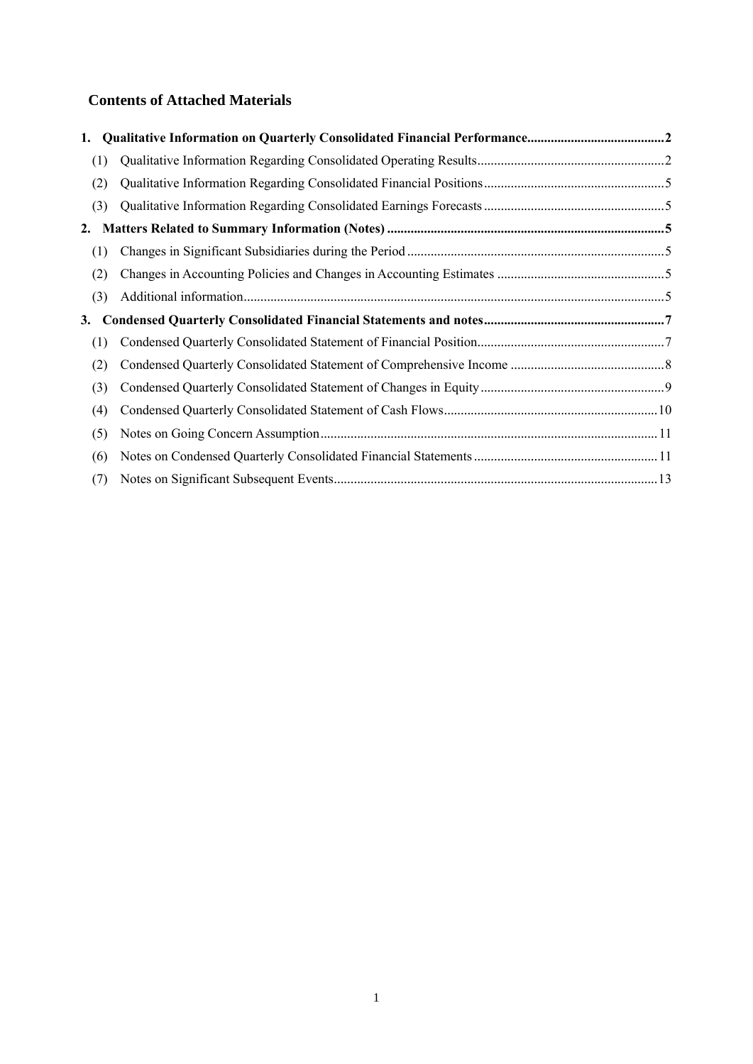# **Contents of Attached Materials**

| (1) |  |
|-----|--|
| (2) |  |
| (3) |  |
|     |  |
| (1) |  |
| (2) |  |
| (3) |  |
|     |  |
| 3.  |  |
| (1) |  |
| (2) |  |
| (3) |  |
| (4) |  |
| (5) |  |
| (6) |  |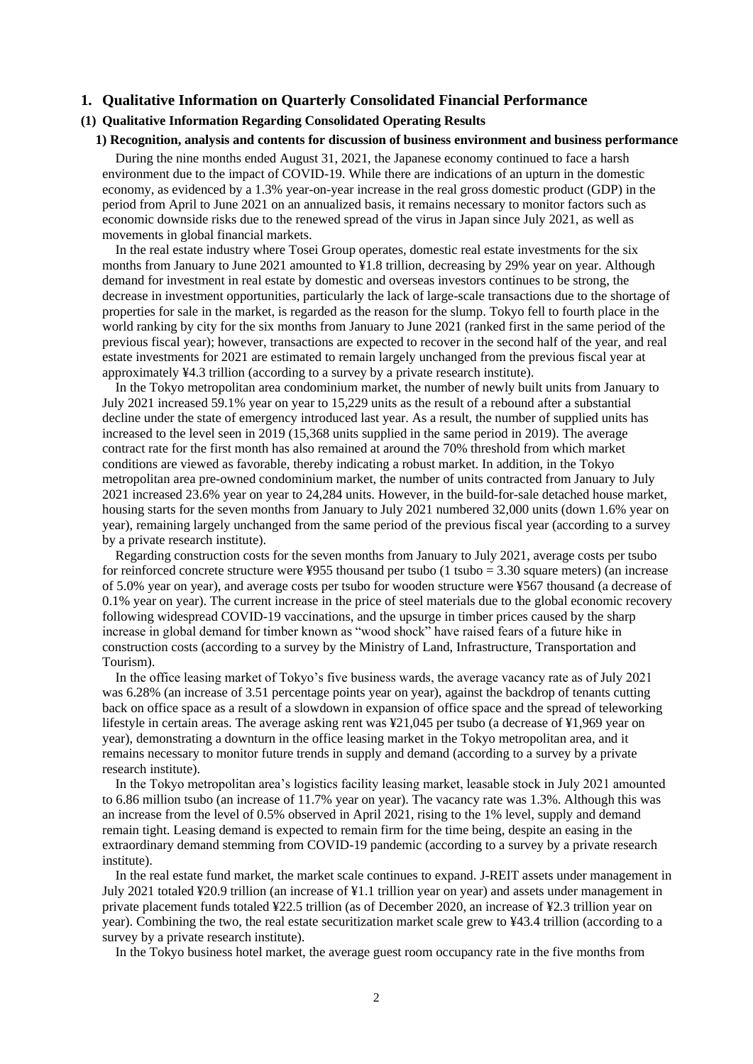### <span id="page-3-0"></span>**1. Qualitative Information on Quarterly Consolidated Financial Performance**

# <span id="page-3-1"></span>**(1) Qualitative Information Regarding Consolidated Operating Results**

#### **1) Recognition, analysis and contents for discussion of business environment and business performance**

During the nine months ended August 31, 2021, the Japanese economy continued to face a harsh environment due to the impact of COVID-19. While there are indications of an upturn in the domestic economy, as evidenced by a 1.3% year-on-year increase in the real gross domestic product (GDP) in the period from April to June 2021 on an annualized basis, it remains necessary to monitor factors such as economic downside risks due to the renewed spread of the virus in Japan since July 2021, as well as movements in global financial markets.

In the real estate industry where Tosei Group operates, domestic real estate investments for the six months from January to June 2021 amounted to ¥1.8 trillion, decreasing by 29% year on year. Although demand for investment in real estate by domestic and overseas investors continues to be strong, the decrease in investment opportunities, particularly the lack of large-scale transactions due to the shortage of properties for sale in the market, is regarded as the reason for the slump. Tokyo fell to fourth place in the world ranking by city for the six months from January to June 2021 (ranked first in the same period of the previous fiscal year); however, transactions are expected to recover in the second half of the year, and real estate investments for 2021 are estimated to remain largely unchanged from the previous fiscal year at approximately ¥4.3 trillion (according to a survey by a private research institute).

In the Tokyo metropolitan area condominium market, the number of newly built units from January to July 2021 increased 59.1% year on year to 15,229 units as the result of a rebound after a substantial decline under the state of emergency introduced last year. As a result, the number of supplied units has increased to the level seen in 2019 (15,368 units supplied in the same period in 2019). The average contract rate for the first month has also remained at around the 70% threshold from which market conditions are viewed as favorable, thereby indicating a robust market. In addition, in the Tokyo metropolitan area pre-owned condominium market, the number of units contracted from January to July 2021 increased 23.6% year on year to 24,284 units. However, in the build-for-sale detached house market, housing starts for the seven months from January to July 2021 numbered 32,000 units (down 1.6% year on year), remaining largely unchanged from the same period of the previous fiscal year (according to a survey by a private research institute).

Regarding construction costs for the seven months from January to July 2021, average costs per tsubo for reinforced concrete structure were ¥955 thousand per tsubo (1 tsubo =  $3.30$  square meters) (an increase of 5.0% year on year), and average costs per tsubo for wooden structure were ¥567 thousand (a decrease of 0.1% year on year). The current increase in the price of steel materials due to the global economic recovery following widespread COVID-19 vaccinations, and the upsurge in timber prices caused by the sharp increase in global demand for timber known as "wood shock" have raised fears of a future hike in construction costs (according to a survey by the Ministry of Land, Infrastructure, Transportation and Tourism).

In the office leasing market of Tokyo's five business wards, the average vacancy rate as of July 2021 was 6.28% (an increase of 3.51 percentage points year on year), against the backdrop of tenants cutting back on office space as a result of a slowdown in expansion of office space and the spread of teleworking lifestyle in certain areas. The average asking rent was ¥21,045 per tsubo (a decrease of ¥1,969 year on year), demonstrating a downturn in the office leasing market in the Tokyo metropolitan area, and it remains necessary to monitor future trends in supply and demand (according to a survey by a private research institute).

In the Tokyo metropolitan area's logistics facility leasing market, leasable stock in July 2021 amounted to 6.86 million tsubo (an increase of 11.7% year on year). The vacancy rate was 1.3%. Although this was an increase from the level of 0.5% observed in April 2021, rising to the 1% level, supply and demand remain tight. Leasing demand is expected to remain firm for the time being, despite an easing in the extraordinary demand stemming from COVID-19 pandemic (according to a survey by a private research institute).

In the real estate fund market, the market scale continues to expand. J-REIT assets under management in July 2021 totaled ¥20.9 trillion (an increase of ¥1.1 trillion year on year) and assets under management in private placement funds totaled ¥22.5 trillion (as of December 2020, an increase of ¥2.3 trillion year on year). Combining the two, the real estate securitization market scale grew to ¥43.4 trillion (according to a survey by a private research institute).

In the Tokyo business hotel market, the average guest room occupancy rate in the five months from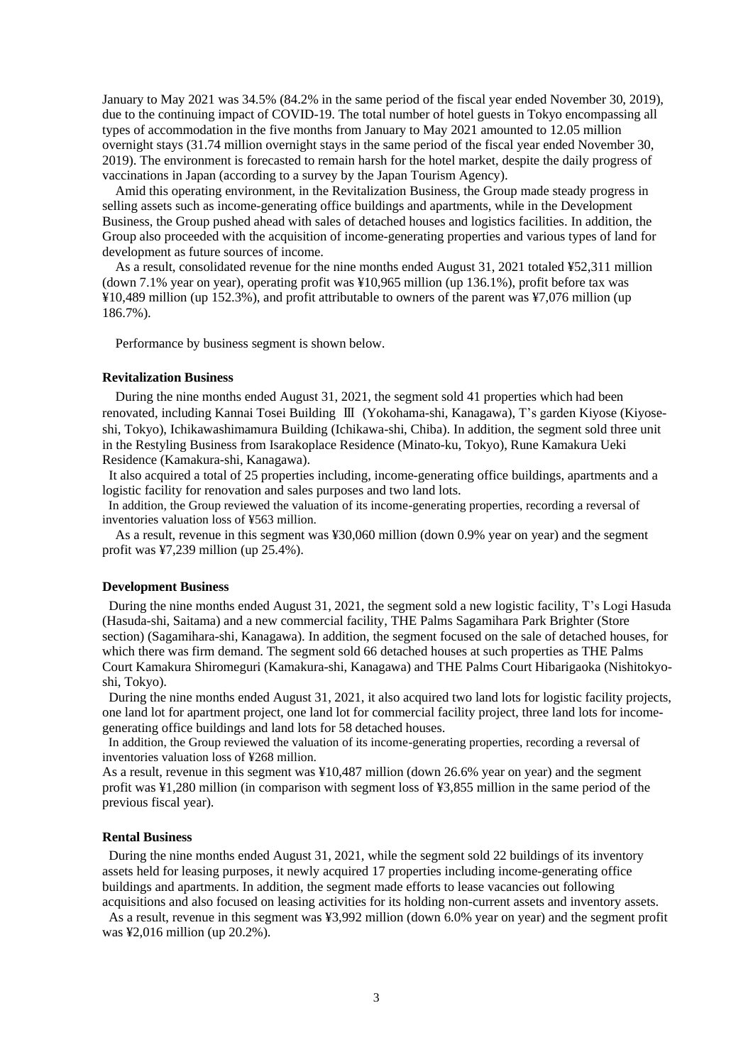January to May 2021 was 34.5% (84.2% in the same period of the fiscal year ended November 30, 2019), due to the continuing impact of COVID-19. The total number of hotel guests in Tokyo encompassing all types of accommodation in the five months from January to May 2021 amounted to 12.05 million overnight stays (31.74 million overnight stays in the same period of the fiscal year ended November 30, 2019). The environment is forecasted to remain harsh for the hotel market, despite the daily progress of vaccinations in Japan (according to a survey by the Japan Tourism Agency).

Amid this operating environment, in the Revitalization Business, the Group made steady progress in selling assets such as income-generating office buildings and apartments, while in the Development Business, the Group pushed ahead with sales of detached houses and logistics facilities. In addition, the Group also proceeded with the acquisition of income-generating properties and various types of land for development as future sources of income.

As a result, consolidated revenue for the nine months ended August 31, 2021 totaled ¥52,311 million (down 7.1% year on year), operating profit was ¥10,965 million (up 136.1%), profit before tax was ¥10,489 million (up 152.3%), and profit attributable to owners of the parent was ¥7,076 million (up 186.7%).

Performance by business segment is shown below.

#### **Revitalization Business**

During the nine months ended August 31, 2021, the segment sold 41 properties which had been renovated, including Kannai Tosei Building Ⅲ (Yokohama-shi, Kanagawa), T's garden Kiyose (Kiyoseshi, Tokyo), Ichikawashimamura Building (Ichikawa-shi, Chiba). In addition, the segment sold three unit in the Restyling Business from Isarakoplace Residence (Minato-ku, Tokyo), Rune Kamakura Ueki Residence (Kamakura-shi, Kanagawa).

It also acquired a total of 25 properties including, income-generating office buildings, apartments and a logistic facility for renovation and sales purposes and two land lots.

In addition, the Group reviewed the valuation of its income-generating properties, recording a reversal of inventories valuation loss of ¥563 million.

As a result, revenue in this segment was ¥30,060 million (down 0.9% year on year) and the segment profit was ¥7,239 million (up 25.4%).

#### **Development Business**

During the nine months ended August 31, 2021, the segment sold a new logistic facility, T's Logi Hasuda (Hasuda-shi, Saitama) and a new commercial facility, THE Palms Sagamihara Park Brighter (Store section) (Sagamihara-shi, Kanagawa). In addition, the segment focused on the sale of detached houses, for which there was firm demand. The segment sold 66 detached houses at such properties as THE Palms Court Kamakura Shiromeguri (Kamakura-shi, Kanagawa) and THE Palms Court Hibarigaoka (Nishitokyoshi, Tokyo).

During the nine months ended August 31, 2021, it also acquired two land lots for logistic facility projects, one land lot for apartment project, one land lot for commercial facility project, three land lots for incomegenerating office buildings and land lots for 58 detached houses.

In addition, the Group reviewed the valuation of its income-generating properties, recording a reversal of inventories valuation loss of ¥268 million.

As a result, revenue in this segment was ¥10,487 million (down 26.6% year on year) and the segment profit was ¥1,280 million (in comparison with segment loss of ¥3,855 million in the same period of the previous fiscal year).

#### **Rental Business**

During the nine months ended August 31, 2021, while the segment sold 22 buildings of its inventory assets held for leasing purposes, it newly acquired 17 properties including income-generating office buildings and apartments. In addition, the segment made efforts to lease vacancies out following acquisitions and also focused on leasing activities for its holding non-current assets and inventory assets.

As a result, revenue in this segment was ¥3,992 million (down 6.0% year on year) and the segment profit was ¥2,016 million (up 20.2%).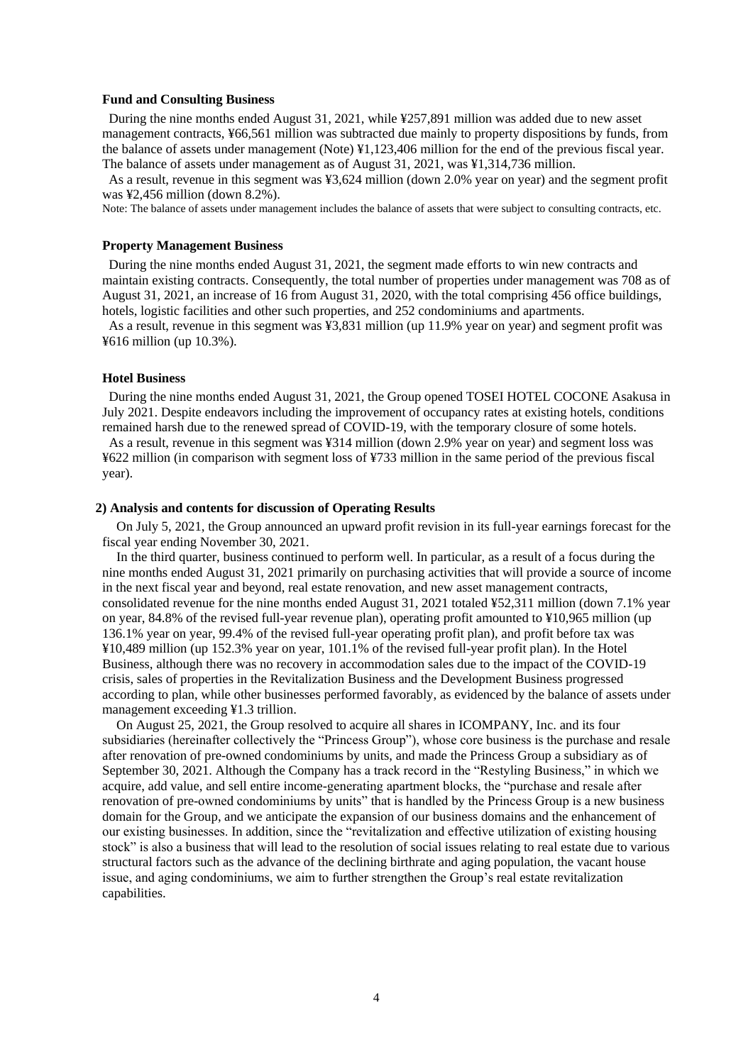#### **Fund and Consulting Business**

During the nine months ended August 31, 2021, while ¥257,891 million was added due to new asset management contracts, ¥66,561 million was subtracted due mainly to property dispositions by funds, from the balance of assets under management (Note) ¥1,123,406 million for the end of the previous fiscal year. The balance of assets under management as of August 31, 2021, was ¥1,314,736 million.

As a result, revenue in this segment was ¥3,624 million (down 2.0% year on year) and the segment profit was ¥2,456 million (down 8.2%).

Note: The balance of assets under management includes the balance of assets that were subject to consulting contracts, etc.

#### **Property Management Business**

During the nine months ended August 31, 2021, the segment made efforts to win new contracts and maintain existing contracts. Consequently, the total number of properties under management was 708 as of August 31, 2021, an increase of 16 from August 31, 2020, with the total comprising 456 office buildings, hotels, logistic facilities and other such properties, and 252 condominiums and apartments.

As a result, revenue in this segment was ¥3,831 million (up 11.9% year on year) and segment profit was ¥616 million (up 10.3%).

#### **Hotel Business**

During the nine months ended August 31, 2021, the Group opened TOSEI HOTEL COCONE Asakusa in July 2021. Despite endeavors including the improvement of occupancy rates at existing hotels, conditions remained harsh due to the renewed spread of COVID-19, with the temporary closure of some hotels.

As a result, revenue in this segment was ¥314 million (down 2.9% year on year) and segment loss was ¥622 million (in comparison with segment loss of ¥733 million in the same period of the previous fiscal year).

#### **2) Analysis and contents for discussion of Operating Results**

On July 5, 2021, the Group announced an upward profit revision in its full-year earnings forecast for the fiscal year ending November 30, 2021.

In the third quarter, business continued to perform well. In particular, as a result of a focus during the nine months ended August 31, 2021 primarily on purchasing activities that will provide a source of income in the next fiscal year and beyond, real estate renovation, and new asset management contracts, consolidated revenue for the nine months ended August 31, 2021 totaled ¥52,311 million (down 7.1% year on year, 84.8% of the revised full-year revenue plan), operating profit amounted to ¥10,965 million (up 136.1% year on year, 99.4% of the revised full-year operating profit plan), and profit before tax was ¥10,489 million (up 152.3% year on year, 101.1% of the revised full-year profit plan). In the Hotel Business, although there was no recovery in accommodation sales due to the impact of the COVID-19 crisis, sales of properties in the Revitalization Business and the Development Business progressed according to plan, while other businesses performed favorably, as evidenced by the balance of assets under management exceeding ¥1.3 trillion.

On August 25, 2021, the Group resolved to acquire all shares in ICOMPANY, Inc. and its four subsidiaries (hereinafter collectively the "Princess Group"), whose core business is the purchase and resale after renovation of pre-owned condominiums by units, and made the Princess Group a subsidiary as of September 30, 2021. Although the Company has a track record in the "Restyling Business," in which we acquire, add value, and sell entire income-generating apartment blocks, the "purchase and resale after renovation of pre-owned condominiums by units" that is handled by the Princess Group is a new business domain for the Group, and we anticipate the expansion of our business domains and the enhancement of our existing businesses. In addition, since the "revitalization and effective utilization of existing housing stock" is also a business that will lead to the resolution of social issues relating to real estate due to various structural factors such as the advance of the declining birthrate and aging population, the vacant house issue, and aging condominiums, we aim to further strengthen the Group's real estate revitalization capabilities.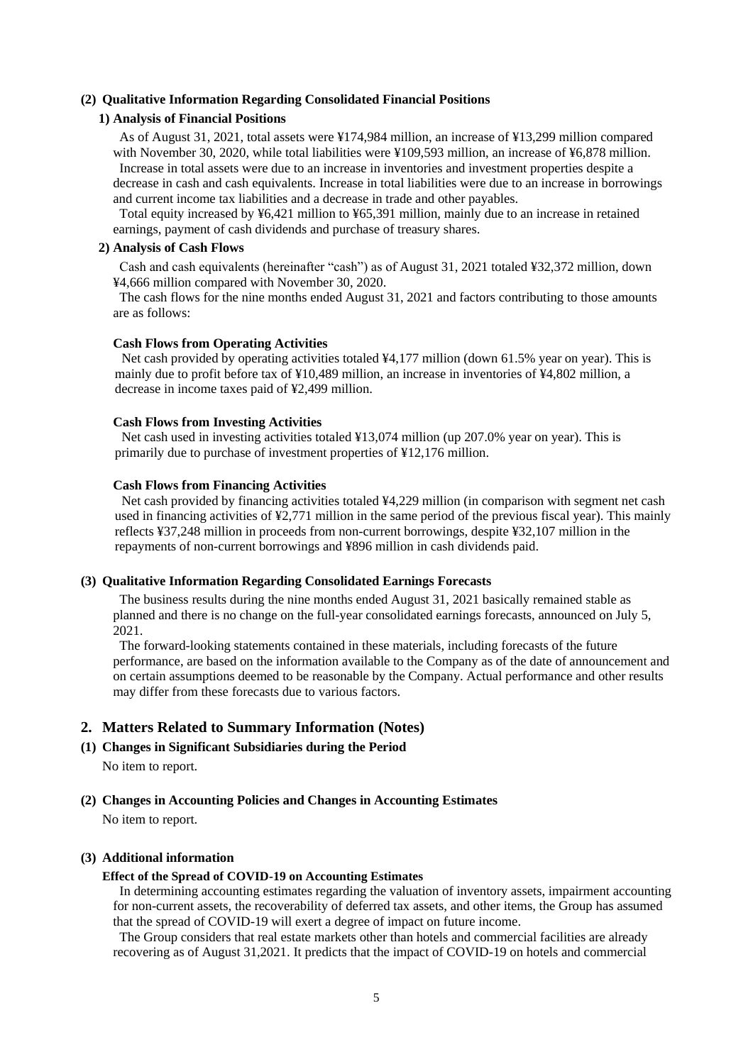#### <span id="page-6-0"></span>**(2) Qualitative Information Regarding Consolidated Financial Positions**

# **1) Analysis of Financial Positions**

As of August 31, 2021, total assets were ¥174,984 million, an increase of ¥13,299 million compared with November 30, 2020, while total liabilities were ¥109,593 million, an increase of ¥6,878 million. Increase in total assets were due to an increase in inventories and investment properties despite a decrease in cash and cash equivalents. Increase in total liabilities were due to an increase in borrowings and current income tax liabilities and a decrease in trade and other payables.

Total equity increased by ¥6,421 million to ¥65,391 million, mainly due to an increase in retained earnings, payment of cash dividends and purchase of treasury shares.

#### **2) Analysis of Cash Flows**

Cash and cash equivalents (hereinafter "cash") as of August 31, 2021 totaled ¥32,372 million, down ¥4,666 million compared with November 30, 2020.

The cash flows for the nine months ended August 31, 2021 and factors contributing to those amounts are as follows:

#### **Cash Flows from Operating Activities**

Net cash provided by operating activities totaled  $44,177$  million (down 61.5% year on year). This is mainly due to profit before tax of ¥10,489 million, an increase in inventories of ¥4,802 million, a decrease in income taxes paid of ¥2,499 million.

#### **Cash Flows from Investing Activities**

Net cash used in investing activities totaled ¥13,074 million (up 207.0% year on year). This is primarily due to purchase of investment properties of ¥12,176 million.

#### **Cash Flows from Financing Activities**

Net cash provided by financing activities totaled ¥4,229 million (in comparison with segment net cash used in financing activities of ¥2,771 million in the same period of the previous fiscal year). This mainly reflects ¥37,248 million in proceeds from non-current borrowings, despite ¥32,107 million in the repayments of non-current borrowings and ¥896 million in cash dividends paid.

#### <span id="page-6-1"></span>**(3) Qualitative Information Regarding Consolidated Earnings Forecasts**

The business results during the nine months ended August 31, 2021 basically remained stable as planned and there is no change on the full-year consolidated earnings forecasts, announced on July 5, 2021.

The forward-looking statements contained in these materials, including forecasts of the future performance, are based on the information available to the Company as of the date of announcement and on certain assumptions deemed to be reasonable by the Company. Actual performance and other results may differ from these forecasts due to various factors.

# <span id="page-6-2"></span>**2. Matters Related to Summary Information (Notes)**

<span id="page-6-3"></span>**(1) Changes in Significant Subsidiaries during the Period**

No item to report.

<span id="page-6-4"></span>**(2) Changes in Accounting Policies and Changes in Accounting Estimates**

No item to report.

#### **(3) Additional information**

#### **Effect of the Spread of COVID-19 on Accounting Estimates**

In determining accounting estimates regarding the valuation of inventory assets, impairment accounting for non-current assets, the recoverability of deferred tax assets, and other items, the Group has assumed that the spread of COVID-19 will exert a degree of impact on future income.

The Group considers that real estate markets other than hotels and commercial facilities are already recovering as of August 31,2021. It predicts that the impact of COVID-19 on hotels and commercial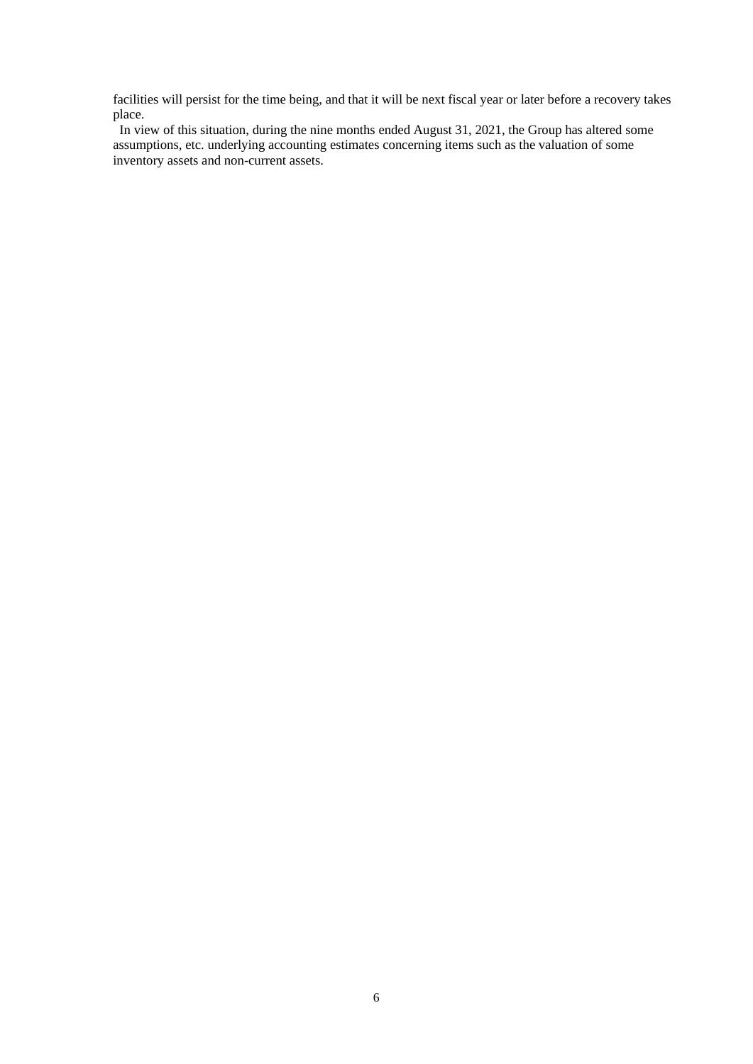facilities will persist for the time being, and that it will be next fiscal year or later before a recovery takes place.

In view of this situation, during the nine months ended August 31, 2021, the Group has altered some assumptions, etc. underlying accounting estimates concerning items such as the valuation of some inventory assets and non-current assets.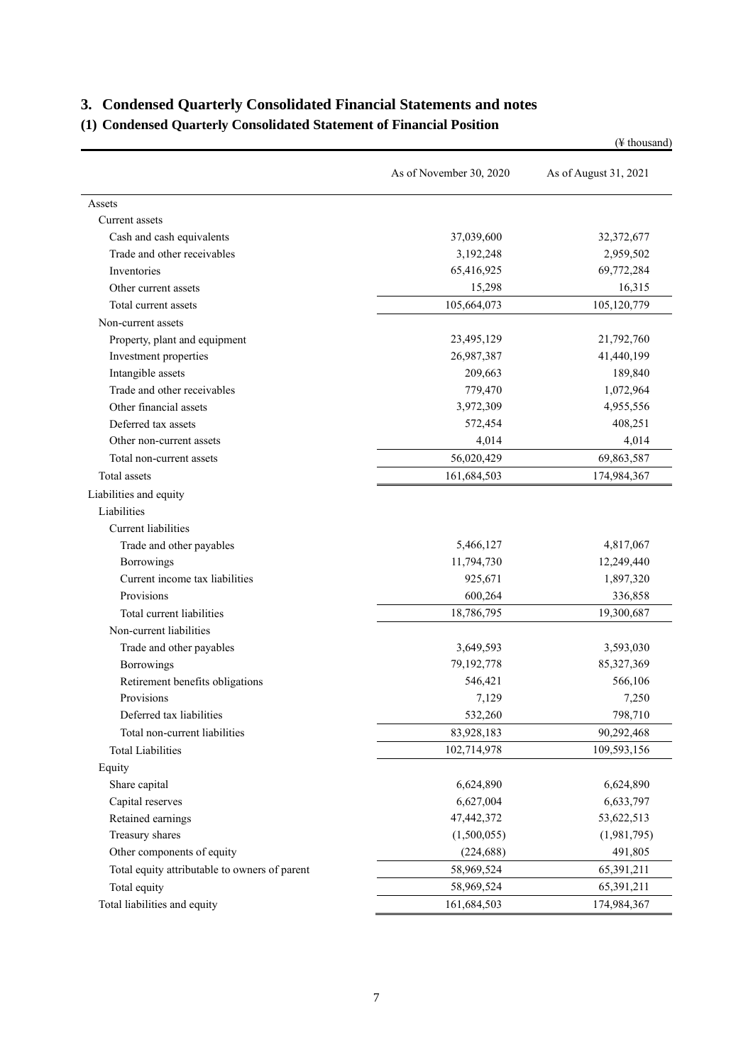# <span id="page-8-0"></span>**3. Condensed Quarterly Consolidated Financial Statements and notes**

# <span id="page-8-1"></span>**(1) Condensed Quarterly Consolidated Statement of Financial Position**

|                                               |                         | $(\frac{1}{2})$ thousand) |
|-----------------------------------------------|-------------------------|---------------------------|
|                                               | As of November 30, 2020 | As of August 31, 2021     |
| Assets                                        |                         |                           |
| Current assets                                |                         |                           |
| Cash and cash equivalents                     | 37,039,600              | 32,372,677                |
| Trade and other receivables                   | 3,192,248               | 2,959,502                 |
| Inventories                                   | 65,416,925              | 69,772,284                |
| Other current assets                          | 15,298                  | 16,315                    |
| Total current assets                          | 105,664,073             | 105,120,779               |
| Non-current assets                            |                         |                           |
| Property, plant and equipment                 | 23,495,129              | 21,792,760                |
| Investment properties                         | 26,987,387              | 41,440,199                |
| Intangible assets                             | 209,663                 | 189,840                   |
| Trade and other receivables                   | 779,470                 | 1,072,964                 |
| Other financial assets                        | 3,972,309               | 4,955,556                 |
| Deferred tax assets                           | 572,454                 | 408,251                   |
| Other non-current assets                      | 4,014                   | 4,014                     |
| Total non-current assets                      | 56,020,429              | 69,863,587                |
| Total assets                                  | 161,684,503             | 174,984,367               |
| Liabilities and equity                        |                         |                           |
| Liabilities                                   |                         |                           |
| Current liabilities                           |                         |                           |
| Trade and other payables                      | 5,466,127               | 4,817,067                 |
| Borrowings                                    | 11,794,730              | 12,249,440                |
| Current income tax liabilities                | 925,671                 | 1,897,320                 |
| Provisions                                    | 600,264                 | 336,858                   |
| Total current liabilities                     | 18,786,795              | 19,300,687                |
| Non-current liabilities                       |                         |                           |
| Trade and other payables                      | 3,649,593               | 3,593,030                 |
| Borrowings                                    | 79,192,778              | 85,327,369                |
| Retirement benefits obligations               | 546,421                 | 566,106                   |
| <b>Provisions</b>                             | 7,129                   | 7,250                     |
| Deferred tax liabilities                      | 532,260                 | 798,710                   |
| Total non-current liabilities                 | 83,928,183              | 90,292,468                |
| <b>Total Liabilities</b>                      | 102,714,978             | 109,593,156               |
| Equity                                        |                         |                           |
| Share capital                                 | 6,624,890               | 6,624,890                 |
| Capital reserves                              | 6,627,004               | 6,633,797                 |
| Retained earnings                             | 47,442,372              | 53,622,513                |
| Treasury shares                               | (1,500,055)             | (1,981,795)               |
| Other components of equity                    | (224, 688)              | 491,805                   |
| Total equity attributable to owners of parent | 58,969,524              | 65,391,211                |
| Total equity                                  | 58,969,524              | 65,391,211                |
| Total liabilities and equity                  | 161,684,503             | 174,984,367               |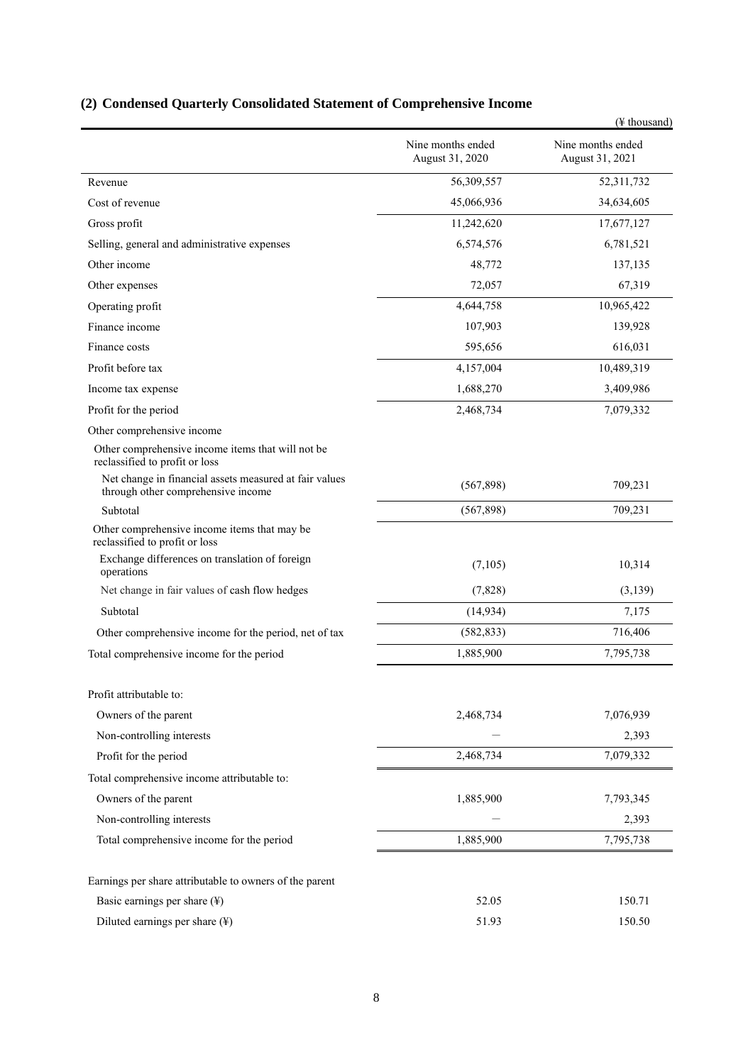# <span id="page-9-0"></span>**(2) Condensed Quarterly Consolidated Statement of Comprehensive Income**

|                                                                                              |                                      | (¥ thousand)                         |
|----------------------------------------------------------------------------------------------|--------------------------------------|--------------------------------------|
|                                                                                              | Nine months ended<br>August 31, 2020 | Nine months ended<br>August 31, 2021 |
| Revenue                                                                                      | 56,309,557                           | 52,311,732                           |
| Cost of revenue                                                                              | 45,066,936                           | 34,634,605                           |
| Gross profit                                                                                 | 11,242,620                           | 17,677,127                           |
| Selling, general and administrative expenses                                                 | 6,574,576                            | 6,781,521                            |
| Other income                                                                                 | 48,772                               | 137,135                              |
| Other expenses                                                                               | 72,057                               | 67,319                               |
| Operating profit                                                                             | 4,644,758                            | 10,965,422                           |
| Finance income                                                                               | 107,903                              | 139,928                              |
| Finance costs                                                                                | 595,656                              | 616,031                              |
| Profit before tax                                                                            | 4,157,004                            | 10,489,319                           |
| Income tax expense                                                                           | 1,688,270                            | 3,409,986                            |
| Profit for the period                                                                        | 2,468,734                            | 7,079,332                            |
| Other comprehensive income                                                                   |                                      |                                      |
| Other comprehensive income items that will not be<br>reclassified to profit or loss          |                                      |                                      |
| Net change in financial assets measured at fair values<br>through other comprehensive income | (567, 898)                           | 709,231                              |
| Subtotal                                                                                     | (567,898)                            | 709,231                              |
| Other comprehensive income items that may be<br>reclassified to profit or loss               |                                      |                                      |
| Exchange differences on translation of foreign<br>operations                                 | (7,105)                              | 10,314                               |
| Net change in fair values of cash flow hedges                                                | (7,828)                              | (3,139)                              |
| Subtotal                                                                                     | (14, 934)                            | 7,175                                |
| Other comprehensive income for the period, net of tax                                        | (582, 833)                           | 716,406                              |
| Total comprehensive income for the period                                                    | 1,885,900                            | 7,795,738                            |
| Profit attributable to:                                                                      |                                      |                                      |
| Owners of the parent                                                                         | 2,468,734                            | 7,076,939                            |
| Non-controlling interests                                                                    |                                      | 2,393                                |
| Profit for the period                                                                        | 2,468,734                            | 7,079,332                            |
| Total comprehensive income attributable to:                                                  |                                      |                                      |
| Owners of the parent                                                                         | 1,885,900                            | 7,793,345                            |
| Non-controlling interests                                                                    |                                      | 2,393                                |
| Total comprehensive income for the period                                                    | 1,885,900                            | 7,795,738                            |
| Earnings per share attributable to owners of the parent                                      |                                      |                                      |
| Basic earnings per share $(\frac{y}{x})$                                                     | 52.05                                | 150.71                               |
| Diluted earnings per share (¥)                                                               | 51.93                                | 150.50                               |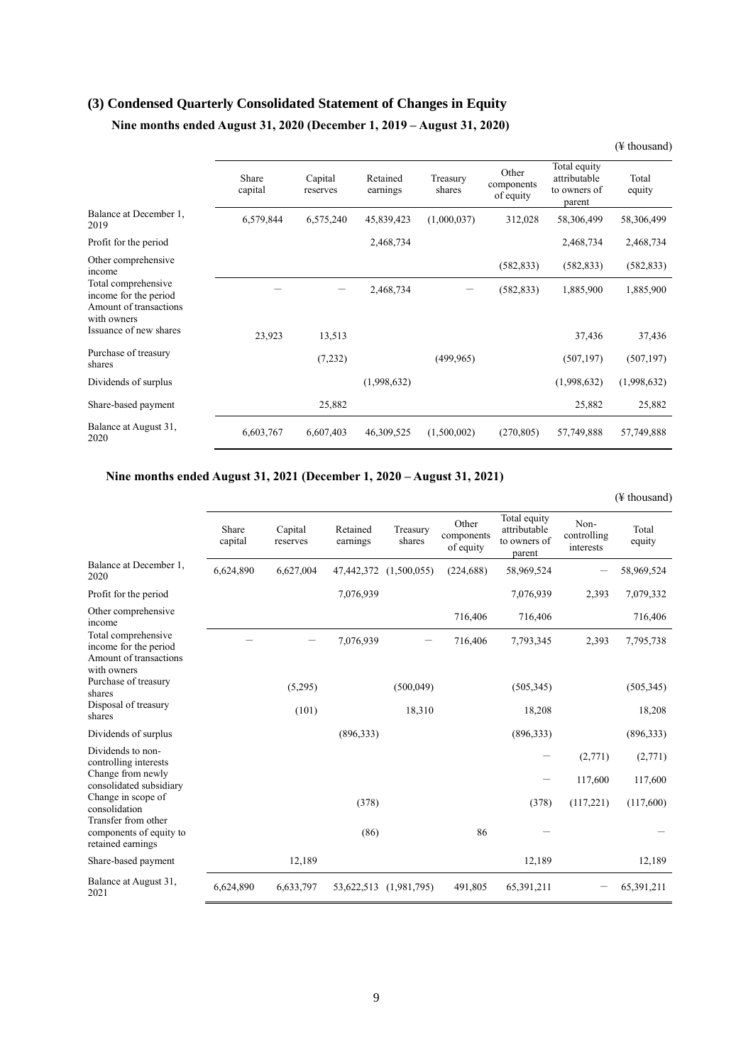# <span id="page-10-0"></span>**(3) Condensed Quarterly Consolidated Statement of Changes in Equity**

# **Nine months ended August 31, 2020 (December 1, 2019 – August 31, 2020)**

|                                                                                       | Share<br>capital | Capital<br>reserves | Retained<br>earnings | Treasury<br>shares | Other<br>components<br>of equity | Total equity<br>attributable<br>to owners of<br>parent | Total<br>equity |
|---------------------------------------------------------------------------------------|------------------|---------------------|----------------------|--------------------|----------------------------------|--------------------------------------------------------|-----------------|
| Balance at December 1,<br>2019                                                        | 6,579,844        | 6,575,240           | 45,839,423           | (1,000,037)        | 312,028                          | 58,306,499                                             | 58,306,499      |
| Profit for the period                                                                 |                  |                     | 2,468,734            |                    |                                  | 2,468,734                                              | 2,468,734       |
| Other comprehensive<br>income                                                         |                  |                     |                      |                    | (582, 833)                       | (582, 833)                                             | (582, 833)      |
| Total comprehensive<br>income for the period<br>Amount of transactions<br>with owners |                  |                     | 2,468,734            |                    | (582, 833)                       | 1,885,900                                              | 1,885,900       |
| Issuance of new shares                                                                | 23,923           | 13,513              |                      |                    |                                  | 37,436                                                 | 37,436          |
| Purchase of treasury<br>shares                                                        |                  | (7,232)             |                      | (499, 965)         |                                  | (507, 197)                                             | (507, 197)      |
| Dividends of surplus                                                                  |                  |                     | (1,998,632)          |                    |                                  | (1,998,632)                                            | (1,998,632)     |
| Share-based payment                                                                   |                  | 25,882              |                      |                    |                                  | 25,882                                                 | 25,882          |
| Balance at August 31,<br>2020                                                         | 6,603,767        | 6,607,403           | 46,309,525           | (1,500,002)        | (270, 805)                       | 57,749,888                                             | 57,749,888      |

## **Nine months ended August 31, 2021 (December 1, 2020 – August 31, 2021)**

|                                                                                       |                  |                     |                      |                    |                                  |                                                        |                                  | (¥ thousand)    |
|---------------------------------------------------------------------------------------|------------------|---------------------|----------------------|--------------------|----------------------------------|--------------------------------------------------------|----------------------------------|-----------------|
|                                                                                       | Share<br>capital | Capital<br>reserves | Retained<br>earnings | Treasury<br>shares | Other<br>components<br>of equity | Total equity<br>attributable<br>to owners of<br>parent | Non-<br>controlling<br>interests | Total<br>equity |
| Balance at December 1,<br>2020                                                        | 6,624,890        | 6,627,004           | 47,442,372           | (1,500,055)        | (224, 688)                       | 58,969,524                                             |                                  | 58,969,524      |
| Profit for the period                                                                 |                  |                     | 7,076,939            |                    |                                  | 7,076,939                                              | 2,393                            | 7,079,332       |
| Other comprehensive<br>income                                                         |                  |                     |                      |                    | 716,406                          | 716,406                                                |                                  | 716,406         |
| Total comprehensive<br>income for the period<br>Amount of transactions<br>with owners |                  |                     | 7,076,939            |                    | 716,406                          | 7,793,345                                              | 2,393                            | 7,795,738       |
| Purchase of treasury<br>shares                                                        |                  | (5,295)             |                      | (500, 049)         |                                  | (505, 345)                                             |                                  | (505, 345)      |
| Disposal of treasury<br>shares                                                        |                  | (101)               |                      | 18,310             |                                  | 18,208                                                 |                                  | 18,208          |
| Dividends of surplus                                                                  |                  |                     | (896, 333)           |                    |                                  | (896, 333)                                             |                                  | (896, 333)      |
| Dividends to non-<br>controlling interests                                            |                  |                     |                      |                    |                                  |                                                        | (2,771)                          | (2,771)         |
| Change from newly<br>consolidated subsidiary                                          |                  |                     |                      |                    |                                  |                                                        | 117,600                          | 117,600         |
| Change in scope of<br>consolidation<br>Transfer from other                            |                  |                     | (378)                |                    |                                  | (378)                                                  | (117,221)                        | (117,600)       |
| components of equity to<br>retained earnings                                          |                  |                     | (86)                 |                    | 86                               |                                                        |                                  |                 |
| Share-based payment                                                                   |                  | 12,189              |                      |                    |                                  | 12,189                                                 |                                  | 12,189          |
| Balance at August 31,<br>2021                                                         | 6,624,890        | 6,633,797           | 53,622,513           | (1,981,795)        | 491,805                          | 65,391,211                                             |                                  | 65,391,211      |

## (¥ thousand)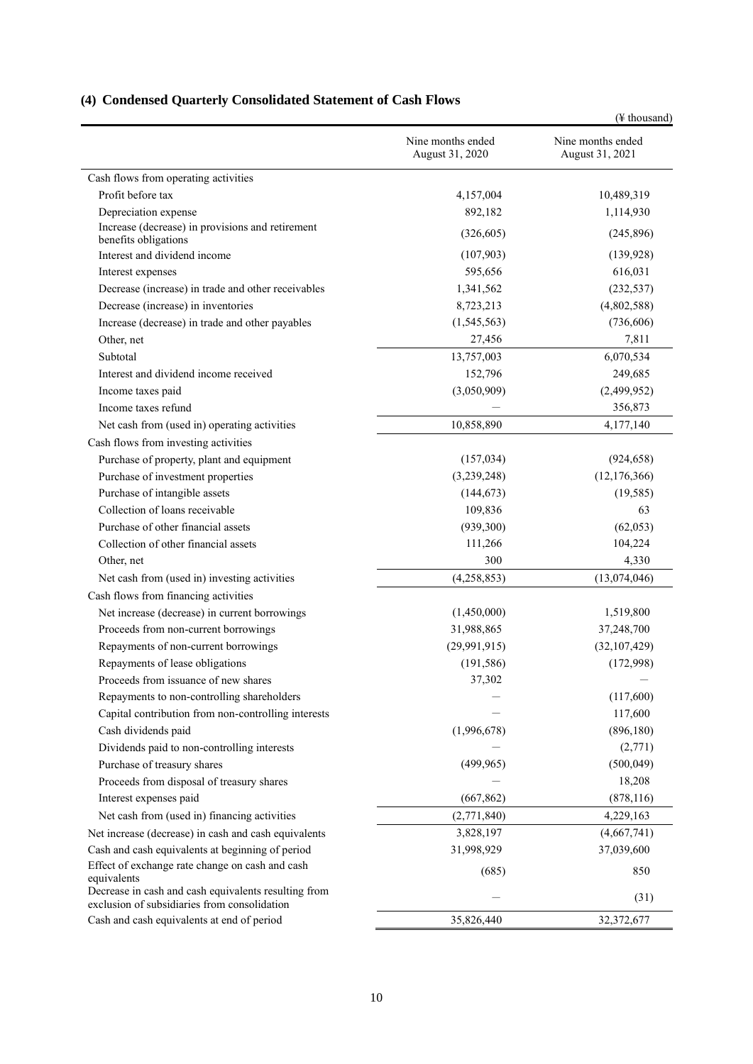<span id="page-11-0"></span>

|                                                                                                      |                                      | (¥ thousand)                         |
|------------------------------------------------------------------------------------------------------|--------------------------------------|--------------------------------------|
|                                                                                                      | Nine months ended<br>August 31, 2020 | Nine months ended<br>August 31, 2021 |
| Cash flows from operating activities                                                                 |                                      |                                      |
| Profit before tax                                                                                    | 4,157,004                            | 10,489,319                           |
| Depreciation expense                                                                                 | 892,182                              | 1,114,930                            |
| Increase (decrease) in provisions and retirement<br>benefits obligations                             | (326, 605)                           | (245, 896)                           |
| Interest and dividend income                                                                         | (107,903)                            | (139, 928)                           |
| Interest expenses                                                                                    | 595,656                              | 616,031                              |
| Decrease (increase) in trade and other receivables                                                   | 1,341,562                            | (232, 537)                           |
| Decrease (increase) in inventories                                                                   | 8,723,213                            | (4,802,588)                          |
| Increase (decrease) in trade and other payables                                                      | (1,545,563)                          | (736, 606)                           |
| Other, net                                                                                           | 27,456                               | 7,811                                |
| Subtotal                                                                                             | 13,757,003                           | 6,070,534                            |
| Interest and dividend income received                                                                | 152,796                              | 249,685                              |
| Income taxes paid                                                                                    | (3,050,909)                          | (2,499,952)                          |
| Income taxes refund                                                                                  |                                      | 356,873                              |
| Net cash from (used in) operating activities                                                         | 10,858,890                           | 4,177,140                            |
| Cash flows from investing activities                                                                 |                                      |                                      |
| Purchase of property, plant and equipment                                                            | (157, 034)                           | (924, 658)                           |
| Purchase of investment properties                                                                    | (3,239,248)                          | (12, 176, 366)                       |
| Purchase of intangible assets                                                                        | (144, 673)                           | (19, 585)                            |
| Collection of loans receivable                                                                       | 109,836                              | 63                                   |
| Purchase of other financial assets                                                                   | (939,300)                            | (62,053)                             |
| Collection of other financial assets                                                                 | 111,266                              | 104,224                              |
| Other, net                                                                                           | 300                                  | 4,330                                |
| Net cash from (used in) investing activities                                                         | (4,258,853)                          | (13,074,046)                         |
| Cash flows from financing activities                                                                 |                                      |                                      |
| Net increase (decrease) in current borrowings                                                        | (1,450,000)                          | 1,519,800                            |
| Proceeds from non-current borrowings                                                                 | 31,988,865                           | 37,248,700                           |
| Repayments of non-current borrowings                                                                 | (29,991,915)                         | (32,107,429)                         |
| Repayments of lease obligations                                                                      | (191, 586)                           | (172,998)                            |
| Proceeds from issuance of new shares                                                                 | 37,302                               |                                      |
| Repayments to non-controlling shareholders                                                           |                                      | (117,600)                            |
| Capital contribution from non-controlling interests                                                  |                                      | 117,600                              |
| Cash dividends paid                                                                                  | (1,996,678)                          | (896, 180)                           |
| Dividends paid to non-controlling interests                                                          |                                      | (2,771)                              |
| Purchase of treasury shares                                                                          | (499, 965)                           | (500, 049)                           |
| Proceeds from disposal of treasury shares                                                            |                                      | 18,208                               |
| Interest expenses paid                                                                               | (667, 862)                           | (878, 116)                           |
| Net cash from (used in) financing activities                                                         | (2,771,840)                          | 4,229,163                            |
| Net increase (decrease) in cash and cash equivalents                                                 | 3,828,197                            | (4,667,741)                          |
| Cash and cash equivalents at beginning of period                                                     | 31,998,929                           | 37,039,600                           |
| Effect of exchange rate change on cash and cash<br>equivalents                                       | (685)                                | 850                                  |
| Decrease in cash and cash equivalents resulting from<br>exclusion of subsidiaries from consolidation |                                      | (31)                                 |
| Cash and cash equivalents at end of period                                                           | 35,826,440                           | 32,372,677                           |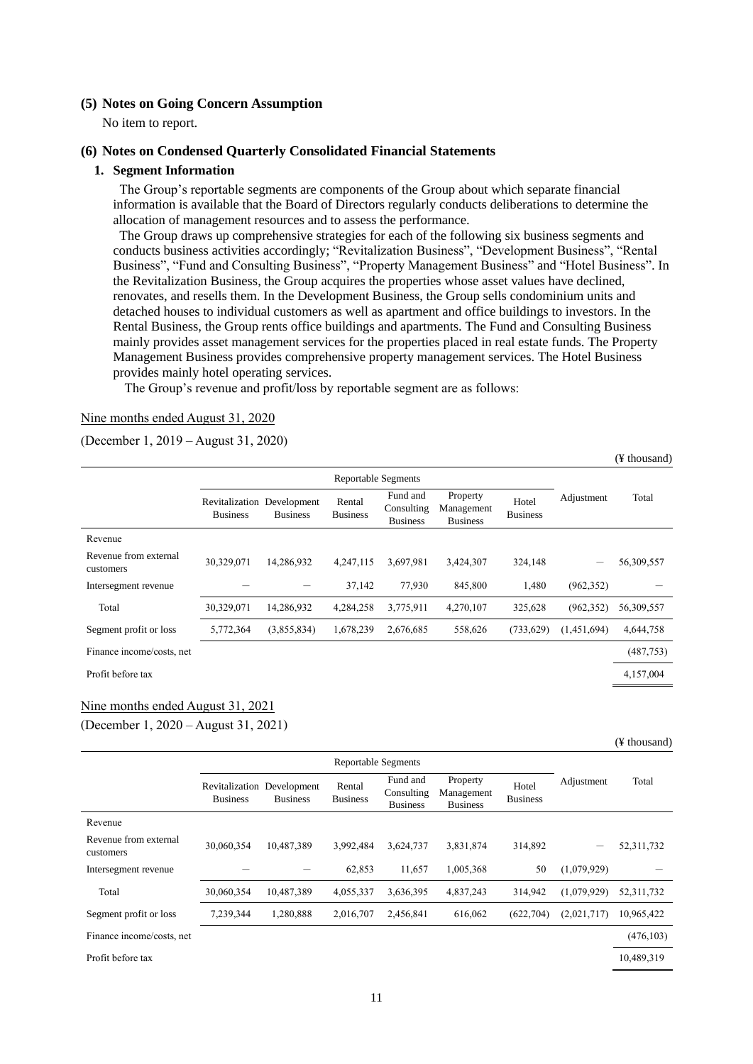# <span id="page-12-0"></span>**(5) Notes on Going Concern Assumption**

No item to report.

#### <span id="page-12-1"></span>**(6) Notes on Condensed Quarterly Consolidated Financial Statements**

#### **1. Segment Information**

The Group's reportable segments are components of the Group about which separate financial information is available that the Board of Directors regularly conducts deliberations to determine the allocation of management resources and to assess the performance.

The Group draws up comprehensive strategies for each of the following six business segments and conducts business activities accordingly; "Revitalization Business", "Development Business", "Rental Business", "Fund and Consulting Business", "Property Management Business" and "Hotel Business". In the Revitalization Business, the Group acquires the properties whose asset values have declined, renovates, and resells them. In the Development Business, the Group sells condominium units and detached houses to individual customers as well as apartment and office buildings to investors. In the Rental Business, the Group rents office buildings and apartments. The Fund and Consulting Business mainly provides asset management services for the properties placed in real estate funds. The Property Management Business provides comprehensive property management services. The Hotel Business provides mainly hotel operating services.

The Group's revenue and profit/loss by reportable segment are as follows:

#### Nine months ended August 31, 2020

(December 1, 2019 – August 31, 2020)

|                                    |                                               |                 |                           |                                           |                                           |                          |             | (¥ thousand) |
|------------------------------------|-----------------------------------------------|-----------------|---------------------------|-------------------------------------------|-------------------------------------------|--------------------------|-------------|--------------|
|                                    | <b>Reportable Segments</b>                    |                 |                           |                                           |                                           |                          |             |              |
|                                    | Revitalization Development<br><b>Business</b> | <b>Business</b> | Rental<br><b>Business</b> | Fund and<br>Consulting<br><b>Business</b> | Property<br>Management<br><b>Business</b> | Hotel<br><b>Business</b> | Adjustment  | Total        |
| Revenue                            |                                               |                 |                           |                                           |                                           |                          |             |              |
| Revenue from external<br>customers | 30,329,071                                    | 14,286,932      | 4,247,115                 | 3,697,981                                 | 3,424,307                                 | 324,148                  |             | 56,309,557   |
| Intersegment revenue               |                                               |                 | 37,142                    | 77,930                                    | 845,800                                   | 1,480                    | (962, 352)  |              |
| Total                              | 30,329,071                                    | 14,286,932      | 4,284,258                 | 3,775,911                                 | 4,270,107                                 | 325,628                  | (962, 352)  | 56,309,557   |
| Segment profit or loss             | 5,772,364                                     | (3,855,834)     | 1,678,239                 | 2,676,685                                 | 558,626                                   | (733, 629)               | (1,451,694) | 4,644,758    |
| Finance income/costs, net          |                                               |                 |                           |                                           |                                           |                          |             | (487,753)    |
| Profit before tax                  |                                               |                 |                           |                                           |                                           |                          |             | 4,157,004    |

#### Nine months ended August 31, 2021

(December 1, 2020 – August 31, 2021)

|                                    | <b>Reportable Segments</b>        |                                |                           |                                           |                                           |                          |             |              |
|------------------------------------|-----------------------------------|--------------------------------|---------------------------|-------------------------------------------|-------------------------------------------|--------------------------|-------------|--------------|
|                                    | Revitalization<br><b>Business</b> | Development<br><b>Business</b> | Rental<br><b>Business</b> | Fund and<br>Consulting<br><b>Business</b> | Property<br>Management<br><b>Business</b> | Hotel<br><b>Business</b> | Adjustment  | Total        |
| Revenue                            |                                   |                                |                           |                                           |                                           |                          |             |              |
| Revenue from external<br>customers | 30,060,354                        | 10,487,389                     | 3,992,484                 | 3,624,737                                 | 3,831,874                                 | 314,892                  |             | 52, 311, 732 |
| Intersegment revenue               |                                   |                                | 62,853                    | 11,657                                    | 1,005,368                                 | 50                       | (1,079,929) |              |
| Total                              | 30,060,354                        | 10.487.389                     | 4,055,337                 | 3,636,395                                 | 4,837,243                                 | 314.942                  | (1.079.929) | 52, 311, 732 |
| Segment profit or loss             | 7,239,344                         | 1,280,888                      | 2,016,707                 | 2,456,841                                 | 616,062                                   | (622, 704)               | (2,021,717) | 10,965,422   |
| Finance income/costs, net          |                                   |                                |                           |                                           |                                           |                          |             | (476, 103)   |
| Profit before tax                  |                                   |                                |                           |                                           |                                           |                          |             | 10.489.319   |

(¥ thousand)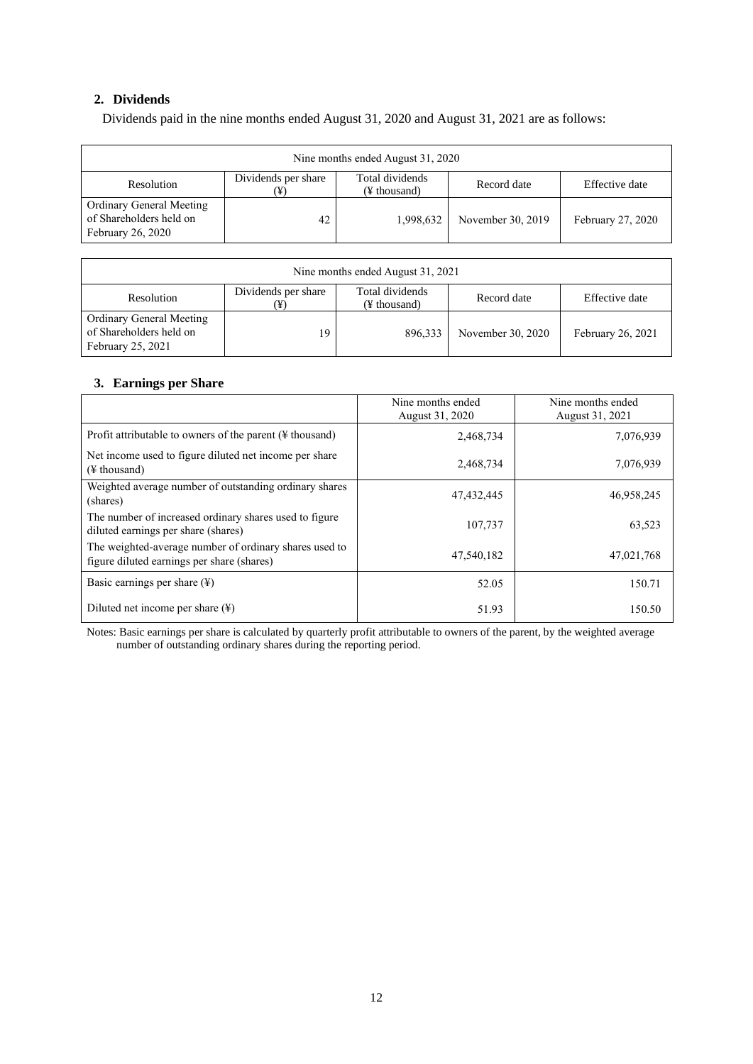# **2. Dividends**

Dividends paid in the nine months ended August 31, 2020 and August 31, 2021 are as follows:

| Nine months ended August 31, 2020                                        |                     |                                 |                   |                   |
|--------------------------------------------------------------------------|---------------------|---------------------------------|-------------------|-------------------|
| Resolution                                                               | Dividends per share | Total dividends<br>(¥ thousand) | Record date       | Effective date    |
| Ordinary General Meeting<br>of Shareholders held on<br>February 26, 2020 | 42                  | 1,998,632                       | November 30, 2019 | February 27, 2020 |

| Nine months ended August 31, 2021                                        |                     |                                 |                   |                   |
|--------------------------------------------------------------------------|---------------------|---------------------------------|-------------------|-------------------|
| Resolution                                                               | Dividends per share | Total dividends<br>(¥ thousand) | Record date       | Effective date    |
| Ordinary General Meeting<br>of Shareholders held on<br>February 25, 2021 | 19                  | 896,333                         | November 30, 2020 | February 26, 2021 |

## **3. Earnings per Share**

|                                                                                                      | Nine months ended<br>August 31, 2020 | Nine months ended<br>August 31, 2021 |
|------------------------------------------------------------------------------------------------------|--------------------------------------|--------------------------------------|
| Profit attributable to owners of the parent $(\frac{1}{2})$ thousand)                                | 2,468,734                            | 7,076,939                            |
| Net income used to figure diluted net income per share<br>$(\frac{1}{2})$ thousand)                  | 2,468,734                            | 7,076,939                            |
| Weighted average number of outstanding ordinary shares<br>(shares)                                   | 47,432,445                           | 46,958,245                           |
| The number of increased ordinary shares used to figure<br>diluted earnings per share (shares)        | 107.737                              | 63,523                               |
| The weighted-average number of ordinary shares used to<br>figure diluted earnings per share (shares) | 47,540,182                           | 47,021,768                           |
| Basic earnings per share $(\frac{1}{2})$                                                             | 52.05                                | 150.71                               |
| Diluted net income per share $(\frac{1}{2})$                                                         | 51.93                                | 150.50                               |

Notes: Basic earnings per share is calculated by quarterly profit attributable to owners of the parent, by the weighted average number of outstanding ordinary shares during the reporting period.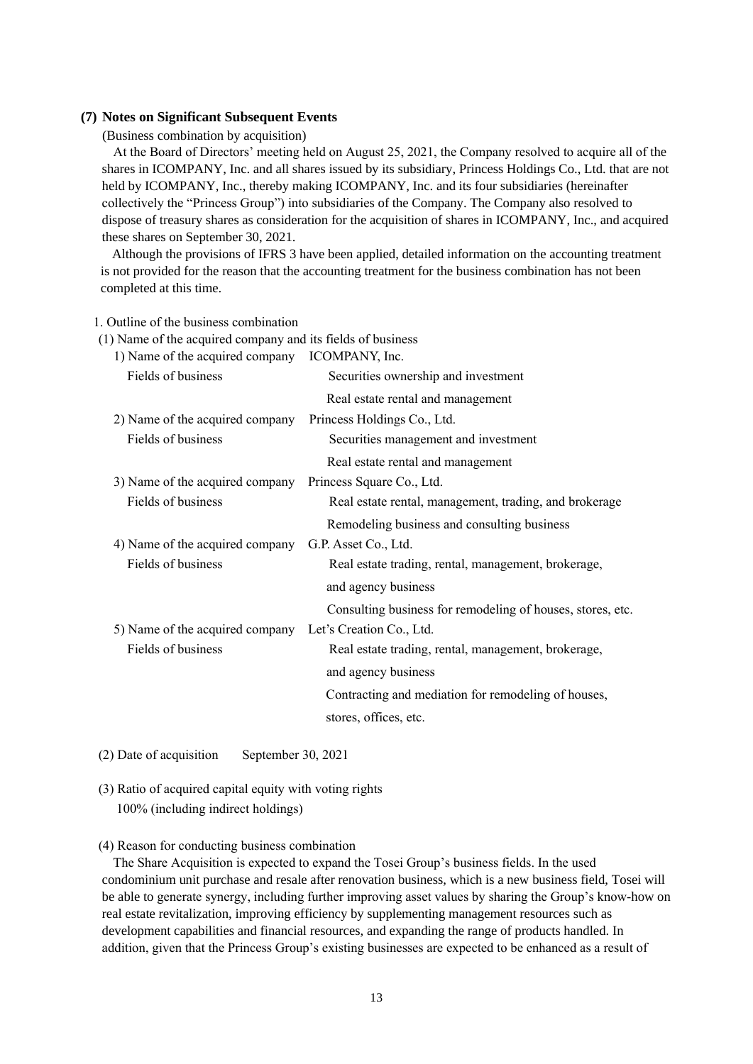#### <span id="page-14-0"></span>**(7) Notes on Significant Subsequent Events**

(Business combination by acquisition)

At the Board of Directors' meeting held on August 25, 2021, the Company resolved to acquire all of the shares in ICOMPANY, Inc. and all shares issued by its subsidiary, Princess Holdings Co., Ltd. that are not held by ICOMPANY, Inc., thereby making ICOMPANY, Inc. and its four subsidiaries (hereinafter collectively the "Princess Group") into subsidiaries of the Company. The Company also resolved to dispose of treasury shares as consideration for the acquisition of shares in ICOMPANY, Inc., and acquired these shares on September 30, 2021.

Although the provisions of IFRS 3 have been applied, detailed information on the accounting treatment is not provided for the reason that the accounting treatment for the business combination has not been completed at this time.

1. Outline of the business combination

| (1) Name of the acquired company and its fields of business |                                                            |
|-------------------------------------------------------------|------------------------------------------------------------|
| 1) Name of the acquired company ICOMPANY, Inc.              |                                                            |
| Fields of business                                          | Securities ownership and investment                        |
|                                                             | Real estate rental and management                          |
| 2) Name of the acquired company                             | Princess Holdings Co., Ltd.                                |
| Fields of business                                          | Securities management and investment                       |
|                                                             | Real estate rental and management                          |
| 3) Name of the acquired company                             | Princess Square Co., Ltd.                                  |
| Fields of business                                          | Real estate rental, management, trading, and brokerage     |
|                                                             | Remodeling business and consulting business                |
| 4) Name of the acquired company                             | G.P. Asset Co., Ltd.                                       |
| Fields of business                                          | Real estate trading, rental, management, brokerage,        |
|                                                             | and agency business                                        |
|                                                             | Consulting business for remodeling of houses, stores, etc. |
| 5) Name of the acquired company                             | Let's Creation Co., Ltd.                                   |
| Fields of business                                          | Real estate trading, rental, management, brokerage,        |
|                                                             | and agency business                                        |
|                                                             | Contracting and mediation for remodeling of houses,        |
|                                                             | stores, offices, etc.                                      |

(2) Date of acquisition September 30, 2021

(3) Ratio of acquired capital equity with voting rights 100% (including indirect holdings)

#### (4) Reason for conducting business combination

The Share Acquisition is expected to expand the Tosei Group's business fields. In the used condominium unit purchase and resale after renovation business, which is a new business field, Tosei will be able to generate synergy, including further improving asset values by sharing the Group's know-how on real estate revitalization, improving efficiency by supplementing management resources such as development capabilities and financial resources, and expanding the range of products handled. In addition, given that the Princess Group's existing businesses are expected to be enhanced as a result of